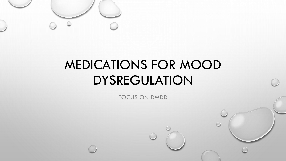

# MEDICATIONS FOR MOOD DYSREGULATION

FOCUS ON DMDD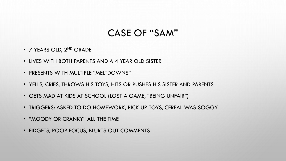#### CASE OF "SAM"

- 7 YEARS OLD, 2ND GRADE
- LIVES WITH BOTH PARENTS AND A 4 YEAR OLD SISTER
- PRESENTS WITH MULTIPLE "MELTDOWNS"
- YELLS, CRIES, THROWS HIS TOYS, HITS OR PUSHES HIS SISTER AND PARENTS
- GETS MAD AT KIDS AT SCHOOL (LOST A GAME, "BEING UNFAIR")
- TRIGGERS: ASKED TO DO HOMEWORK, PICK UP TOYS, CEREAL WAS SOGGY.
- "MOODY OR CRANKY" ALL THE TIME
- FIDGETS, POOR FOCUS, BLURTS OUT COMMENTS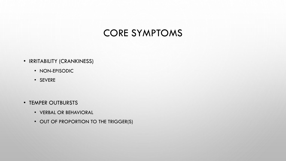### CORE SYMPTOMS

- IRRITABILITY (CRANKINESS)
	- NON-EPISODIC
	- SEVERE

- TEMPER OUTBURSTS
	- VERBAL OR BEHAVIORAL
	- OUT OF PROPORTION TO THE TRIGGER(S)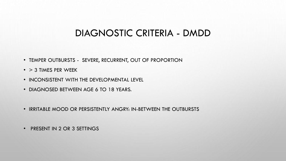#### DIAGNOSTIC CRITERIA - DMDD

- TEMPER OUTBURSTS SEVERE, RECURRENT, OUT OF PROPORTION
- $\cdot$  > 3 TIMES PER WEEK
- INCONSISTENT WITH THE DEVELOPMENTAL LEVEL
- DIAGNOSED BETWEEN AGE 6 TO 18 YEARS.
- IRRITABLE MOOD OR PERSISTENTLY ANGRY: IN-BETWEEN THE OUTBURSTS
- PRESENT IN 2 OR 3 SETTINGS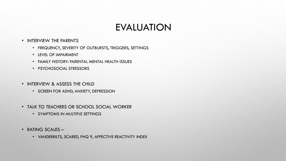#### EVALUATION

- INTERVIEW THE PARENTS
	- FREQUENCY, SEVERITY OF OUTBURSTS, TRIGGERS, SETTINGS
	- LEVEL OF IMPAIRMENT
	- FAMILY HISTORY: PARENTAL MENTAL HEALTH ISSUES
	- PSYCHOSOCIAL STRESSORS
- INTERVIEW & ASSESS THE CHILD
	- SCREEN FOR ADHD, ANXIETY, DEPRESSION
- TALK TO TEACHERS OR SCHOOL SOCIAL WORKER
	- SYMPTOMS IN MULTIPLE SETTINGS
- RATING SCALES
	- VANDERBILTS, SCARED, PHQ 9, AFFECTIVE REACTIVITY INDEX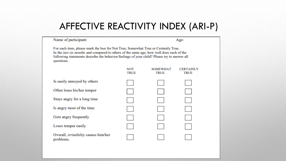#### AFFECTIVE REACTIVITY INDEX (ARI-P)

#### Name of participant:

Age:

For each item, please mark the box for Not True, Somewhat True or Certainly True. In the *last six months* and compared to others of the same age, how well does each of the following statements describe the behavior/feelings of your child? Please try to answer all questions.

|                                                          | NOT<br><b>TRUE</b> | <b>SOMEWHAT</b><br><b>TRUE</b> | <b>CERTAINLY</b><br><b>TRUE</b> |
|----------------------------------------------------------|--------------------|--------------------------------|---------------------------------|
| Is easily annoyed by others                              |                    |                                |                                 |
| Often loses his/her temper                               |                    |                                |                                 |
| Stays angry for a long time                              |                    |                                |                                 |
| Is angry most of the time                                |                    |                                |                                 |
| Gets angry frequently                                    |                    |                                |                                 |
| Loses temper easily                                      |                    |                                |                                 |
| Overall, <i>irritability</i> causes him/her<br>problems. |                    |                                |                                 |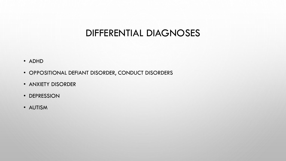#### DIFFERENTIAL DIAGNOSES

- ADHD
- OPPOSITIONAL DEFIANT DISORDER, CONDUCT DISORDERS
- ANXIETY DISORDER
- DEPRESSION
- AUTISM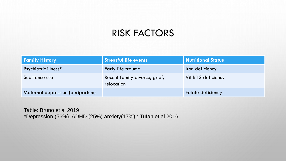## RISK FACTORS

| <b>Family History</b>            | <b>Stressful life events</b>                | <u>Nutritional Status</u> |
|----------------------------------|---------------------------------------------|---------------------------|
| Psychiatric illness*             | Early life trauma                           | Iron deficiency           |
| Substance use                    | Recent family divorce, grief,<br>relocation | Vit B12 deficiency        |
| Maternal depression (peripartum) |                                             | Folate deficiency         |

Table: Bruno et al 2019 \*Depression (56%), ADHD (25%) anxiety(17%) : Tufan et al 2016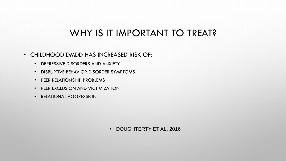## WHY IS IT IMPORTANT TO TREAT?

#### • CHILDHOOD DMDD HAS INCREASED RISK OF:

- DEPRESSIVE DISORDERS AND ANXIETY
- DISRUPTIVE BEHAVIOR DISORDER SYMPTOMS
- PEER RELATIONSHIP PROBLEMS
- PEER EXCLUSION AND VICTIMIZATION
- RELATIONAL AGGRESSION

#### • DOUGHTERTY ET AL, 2016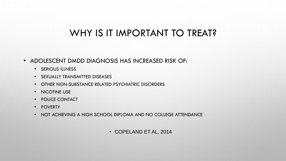## WHY IS IT IMPORTANT TO TREAT?

- ADOLESCENT DMDD DIAGNOSIS HAS INCREASED RISK OF:
	- SERIOUS ILLNESS
	- SEXUALLY TRANSMITTED DISEASES
	- OTHER NON-SUBSTANCE RELATED PSYCHIATRIC DISORDERS
	- NICOTINE USE
	- POLICE CONTACT
	- POVERTY
	- NOT ACHIEVING A HIGH SCHOOL DIPLOMA AND NO COLLEGE ATTENDANCE
		- COPELAND ET AL, 2014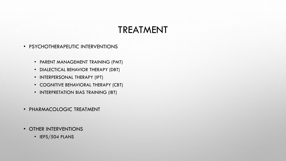#### TREATMENT

- PSYCHOTHERAPEUTIC INTERVENTIONS
	- PARENT MANAGEMENT TRAINING (PMT)
	- DIALECTICAL BEHAVIOR THERAPY (DBT)
	- INTERPERSONAL THERAPY (IPT)
	- COGNITIVE BEHAVIORAL THERAPY (CBT)
	- INTERPRETATION BIAS TRAINING (IBT)
- PHARMACOLOGIC TREATMENT
- OTHER INTERVENTIONS
	- IEPS/504 PLANS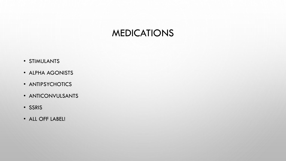### MEDICATIONS

- STIMULANTS
- ALPHA AGONISTS
- ANTIPSYCHOTICS
- ANTICONVULSANTS
- SSRIS
- ALL OFF LABEL!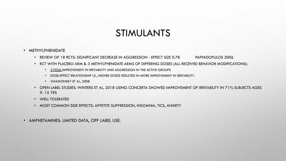#### STIMULANTS

- METHYLPHENIDATE
	- REVIEW OF 18 RCTS: SIGNIFICANT DECREASE IN AGGRESSION EFFECT SIZE 0.78 PAPPADOPULOS 2006
	- RCT WITH PLACEBO ARM & 3 METHYLPHENIDATE ARMS OF DIFFERING DOSES (ALL RECEIVED BEHAVIOR MODIFICATIONS):
		- 2 FOLD IMPROVEMENT IN IRRITABILITY AND AGGRESSION IN THE ACTIVE GROUPS
		- DOSE-EFFECT RELATIONSHIP I.E., HIGHER DOSES RESULTED IN MORE IMPROVEMENT IN IRRITABILITY.
		- WAXMONSKY ET AL, 2008
	- OPEN LABEL STUDIES: WINTERS ET AL, 2018 USING CONCERTA SHOWED IMPROVEMENT OF IRRITABILITY IN 71% SUBJECTS AGES 9- 15 YRS
	- WELL TOLERATED
	- MOST COMMON SIDE EFFECTS: APPETITE SUPPRESSION, INSOMNIA, TICS, ANXIETY
- AMPHETAMINES: LIMITED DATA, OFF LABEL USE.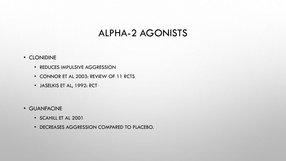#### ALPHA-2 AGONISTS

#### • CLONIDINE

- REDUCES IMPULSIVE AGGRESSION
- CONNOR ET AL 2003: REVIEW OF 11 RCTS
- JASELKIS ET AL, 1992: RCT

- GUANFACINE
	- SCAHILL ET AL 2001
	- DECREASES AGGRESSION COMPARED TO PLACEBO.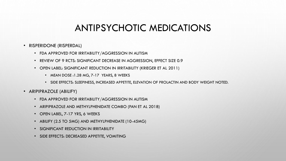#### ANTIPSYCHOTIC MEDICATIONS

#### • RISPERIDONE (RISPERDAL)

- FDA APPROVED FOR IRRITABILITY/AGGRESSION IN AUTISM
- REVIEW OF 9 RCTS: SIGNIFICANT DECREASE IN AGGRESSION, EFFECT SIZE 0.9
- OPEN LABEL: SIGNIFICANT REDUCTION IN IRRITABILITY (KRIEGER ET AL 2011)
	- MEAN DOSE :1.28 MG, 7-17 YEARS, 8 WEEKS
	- SIDE EFFECTS: SLEEPINESS, INCREASED APPETITE, ELEVATION OF PROLACTIN AND BODY WEIGHT NOTED.
- ARIPIPRAZOLE (ABILIFY)
	- FDA APPROVED FOR IRRITABILITY/AGGRESSION IN AUTISM
	- ARIPIPRAZOLE AND METHYLPHENIDATE COMBO (PAN ET AL 2018)
	- OPEN LABEL, 7-17 YRS, 6 WEEKS
	- ABILIFY (2.5 TO 5MG) AND METHYLPHENIDATE (10-45MG)
	- SIGNIFICANT REDUCTION IN IRRITABILITY
	- SIDE EFFECTS: DECREASED APPETITE, VOMITING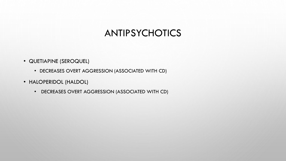### **ANTIPSYCHOTICS**

- QUETIAPINE (SEROQUEL)
	- DECREASES OVERT AGGRESSION (ASSOCIATED WITH CD)
- HALOPERIDOL (HALDOL)
	- DECREASES OVERT AGGRESSION (ASSOCIATED WITH CD)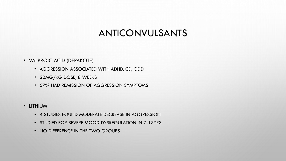### ANTICONVULSANTS

#### • VALPROIC ACID (DEPAKOTE)

- AGGRESSION ASSOCIATED WITH ADHD, CD, ODD
- 20MG/KG DOSE, 8 WEEKS
- 57% HAD REMISSION OF AGGRESSION SYMPTOMS
- LITHIUM
	- 4 STUDIES FOUND MODERATE DECREASE IN AGGRESSION
	- STUDIED FOR SEVERE MOOD DYSREGULATION IN 7-17YRS
	- NO DIFFERENCE IN THE TWO GROUPS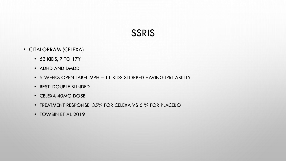

- CITALOPRAM (CELEXA)
	- 53 KIDS, 7 TO 17Y
	- ADHD AND DMDD
	- 5 WEEKS OPEN LABEL MPH 11 KIDS STOPPED HAVING IRRITABILITY
	- REST: DOUBLE BLINDED
	- CELEXA 40MG DOSE
	- TREATMENT RESPONSE: 35% FOR CELEXA VS 6 % FOR PLACEBO
	- TOWBIN ET AL 2019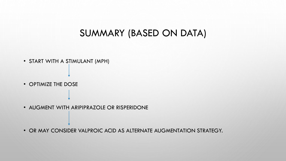#### SUMMARY (BASED ON DATA)

• START WITH A STIMULANT (MPH)

• OPTIMIZE THE DOSE

• AUGMENT WITH ARIPIPRAZOLE OR RISPERIDONE

• OR MAY CONSIDER VALPROIC ACID AS ALTERNATE AUGMENTATION STRATEGY.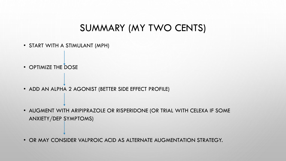#### SUMMARY (MY TWO CENTS)

- START WITH A STIMULANT (MPH)
- OPTIMIZE THE DOSE
- ADD AN ALPHA 2 AGONIST (BETTER SIDE EFFECT PROFILE)
- AUGMENT WITH ARIPIPRAZOLE OR RISPERIDONE (OR TRIAL WITH CELEXA IF SOME ANXIETY/DEP SYMPTOMS)

• OR MAY CONSIDER VALPROIC ACID AS ALTERNATE AUGMENTATION STRATEGY.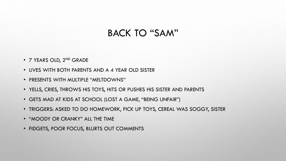#### BACK TO "SAM"

- 7 YEARS OLD, 2ND GRADE
- LIVES WITH BOTH PARENTS AND A 4 YEAR OLD SISTER
- PRESENTS WITH MULTIPLE "MELTDOWNS"
- YELLS, CRIES, THROWS HIS TOYS, HITS OR PUSHES HIS SISTER AND PARENTS
- GETS MAD AT KIDS AT SCHOOL (LOST A GAME, "BEING UNFAIR")
- TRIGGERS: ASKED TO DO HOMEWORK, PICK UP TOYS, CEREAL WAS SOGGY, SISTER
- "MOODY OR CRANKY" ALL THE TIME
- FIDGETS, POOR FOCUS, BLURTS OUT COMMENTS